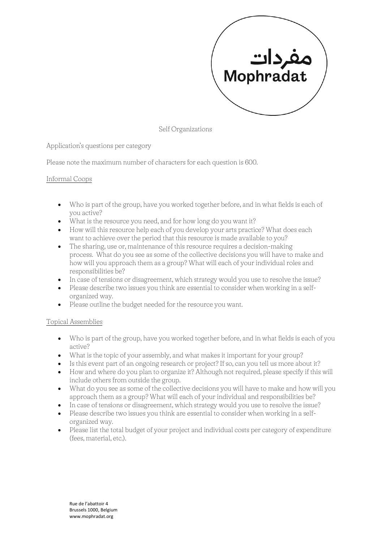

Self Organizations

Application's questions per category

Please note the maximum number of characters for each question is 600.

## Informal Coops

- Who is part of the group, have you worked together before, and in what fields is each of you active?
- What is the resource you need, and for how long do you want it?
- How will this resource help each of you develop your arts practice? What does each want to achieve over the period that this resource is made available to you?
- The sharing, use or, maintenance of this resource requires a decision-making process. What do you see as some of the collective decisions you will have to make and how will you approach them as a group? What will each of your individual roles and responsibilities be?
- In case of tensions or disagreement, which strategy would you use to resolve the issue?
- Please describe two issues you think are essential to consider when working in a selforganized way.
- Please outline the budget needed for the resource you want.

## Topical Assemblies

- Who is part of the group, have you worked together before, and in what fields is each of you active?
- What is the topic of your assembly, and what makes it important for your group?
- Is this event part of an ongoing research or project? If so, can you tell us more about it?
- How and where do you plan to organize it? Although not required, please specify if this will include others from outside the group.
- What do you see as some of the collective decisions you will have to make and how will you approach them as a group? What will each of your individual and responsibilities be?
- In case of tensions or disagreement, which strategy would you use to resolve the issue?
- Please describe two issues you think are essential to consider when working in a selforganized way.
- Please list the total budget of your project and individual costs per category of expenditure (fees, material, etc.).